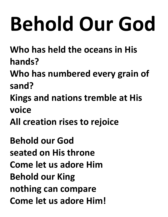## **Behold Our God**

- Who has held the oceans in His hands?
- Who has numbered every grain of sand?
- Kings and nations tremble at His voice
- All creation rises to rejoice

Behold our God seated on His throne Come let us adore Him Behold our King nothing can compare Come let us adore Him!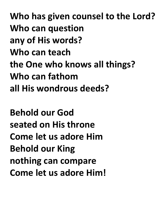Who has given counsel to the Lord? Who can question any of His words? Who can teach the One who knows all things? Who can fathom all His wondrous deeds?

Behold our God seated on His throne Come let us adore Him Behold our King nothing can compare Come let us adore Him!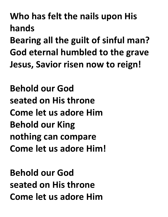Who has felt the nails upon His hands

Bearing all the guilt of sinful man? God eternal humbled to the grave Jesus, Savior risen now to reign!

Behold our God seated on His throne Come let us adore Him Behold our King nothing can compare Come let us adore Him!

Behold our God seated on His throne Come let us adore Him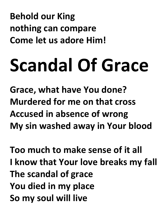Behold our King nothing can compare Come let us adore Him!

### Scandal Of Grace

Grace, what have You done? Murdered for me on that cross Accused in absence of wrong My sin washed away in Your blood

Too much to make sense of it all I know that Your love breaks my fall The scandal of grace You died in my place So my soul will live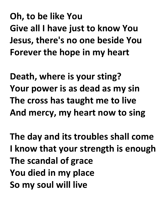Oh, to be like You Give all I have just to know You Jesus, there's no one beside You Forever the hope in my heart

Death, where is your sting? Your power is as dead as my sin The cross has taught me to live And mercy, my heart now to sing

The day and its troubles shall come I know that your strength is enough The scandal of grace You died in my place So my soul will live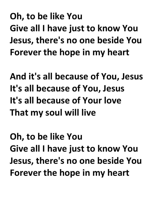Oh, to be like You Give all I have just to know You Jesus, there's no one beside You Forever the hope in my heart

And it's all because of You, Jesus It's all because of You, Jesus It's all because of Your love That my soul will live

Oh, to be like You Give all I have just to know You Jesus, there's no one beside You Forever the hope in my heart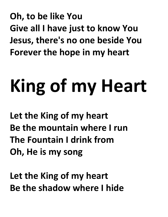Oh, to be like You Give all I have just to know You Jesus, there's no one beside You Forever the hope in my heart

## King of my Heart

Let the King of my heart Be the mountain where I run The Fountain I drink from Oh, He is my song

Let the King of my heart Be the shadow where I hide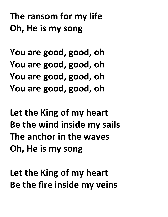The ransom for my life Oh, He is my song

You are good, good, oh You are good, good, oh You are good, good, oh You are good, good, oh

Let the King of my heart Be the wind inside my sails The anchor in the waves Oh, He is my song

Let the King of my heart Be the fire inside my veins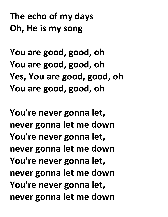#### The echo of my days Oh, He is my song

You are good, good, oh You are good, good, oh Yes, You are good, good, oh You are good, good, oh

You're never gonna let, never gonna let me down You're never gonna let, never gonna let me down You're never gonna let, never gonna let me down You're never gonna let, never gonna let me down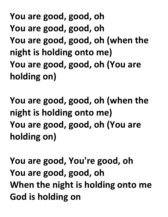You are good, good, oh You are good, good, oh You are good, good, oh (when the night is holding onto me) You are good, good, oh (You are holding on)

You are good, good, oh (when the night is holding onto me) You are good, good, oh (You are holding on)

You are good, You're good, oh You are good, good, oh When the night is holding onto me God is holding on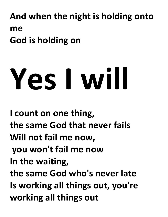And when the night is holding onto me

#### God is holding on

# Yes I will

I count on one thing, the same God that never fails Will not fail me now, you won't fail me now In the waiting, the same God who's never late Is working all things out, you're working all things out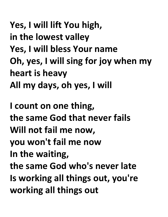Yes, I will lift You high, in the lowest valley Yes, I will bless Your name Oh, yes, I will sing for joy when my heart is heavy All my days, oh yes, I will

I count on one thing, the same God that never fails Will not fail me now, you won't fail me now In the waiting, the same God who's never late Is working all things out, you're working all things out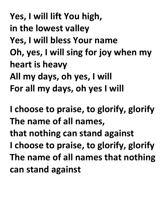Yes, I will lift You high, in the lowest valley Yes, I will bless Your name Oh, yes, I will sing for joy when my heart is heavy All my days, oh yes, I will For all my days, oh yes I will

I choose to praise, to glorify, glorify The name of all names, that nothing can stand against I choose to praise, to glorify, glorify The name of all names that nothing can stand against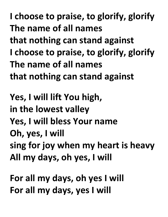I choose to praise, to glorify, glorify The name of all names that nothing can stand against I choose to praise, to glorify, glorify The name of all names that nothing can stand against

Yes, I will lift You high, in the lowest valley Yes, I will bless Your name Oh, yes, I will sing for joy when my heart is heavy All my days, oh yes, I will

For all my days, oh yes I will For all my days, yes I will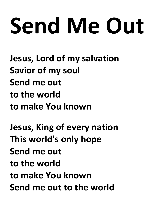# **Send Me Out**

Jesus, Lord of my salvation Savior of my soul Send me out to the world to make You known

Jesus, King of every nation This world's only hope Send me out to the world to make You known Send me out to the world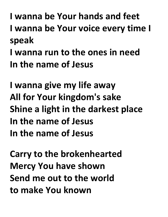I wanna be Your hands and feet I wanna be Your voice every time I speak

I wanna run to the ones in need In the name of Jesus

I wanna give my life away All for Your kingdom's sake Shine a light in the darkest place In the name of Jesus In the name of Jesus

Carry to the brokenhearted Mercy You have shown Send me out to the world to make You known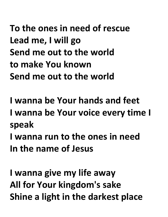To the ones in need of rescue Lead me, I will go Send me out to the world to make You known Send me out to the world

I wanna be Your hands and feet I wanna be Your voice every time I speak

I wanna run to the ones in need In the name of Jesus

I wanna give my life away All for Your kingdom's sake Shine a light in the darkest place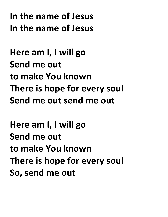#### In the name of Jesus In the name of Jesus

Here am I, I will go Send me out to make You known There is hope for every soul Send me out send me out

Here am I, I will go Send me out to make You known There is hope for every soul So, send me out